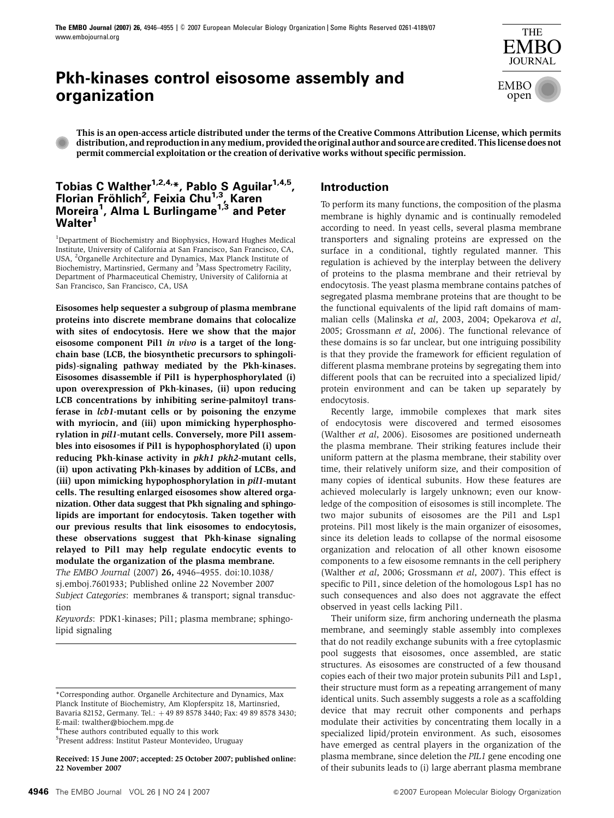# **Pkh-kinases control eisosome assembly and organization**



This is an open-access article distributed under the terms of the Creative Commons Attribution License, which permits distribution, and reproduction in any medium, provided the original author and source are credited. This license does not permit commercial exploitation or the creation of derivative works without specific permission.

# **Tobias C Walther1,2,4,\*, Pablo S Aguilar1,4,5, Florian Fro¨ hlich<sup>2</sup> , Feixia Chu1,3, Karen Moreira1 , Alma L Burlingame1,3 and Peter Walter1**

<sup>1</sup>Department of Biochemistry and Biophysics, Howard Hughes Medical Institute, University of California at San Francisco, San Francisco, CA, USA, <sup>2</sup>Organelle Architecture and Dynamics, Max Planck Institute of Biochemistry, Martinsried, Germany and <sup>3</sup>Mass Spectrometry Facility, Department of Pharmaceutical Chemistry, University of California at San Francisco, San Francisco, CA, USA

Eisosomes help sequester a subgroup of plasma membrane proteins into discrete membrane domains that colocalize with sites of endocytosis. Here we show that the major eisosome component Pil1 in vivo is a target of the longchain base (LCB, the biosynthetic precursors to sphingolipids)-signaling pathway mediated by the Pkh-kinases. Eisosomes disassemble if Pil1 is hyperphosphorylated (i) upon overexpression of Pkh-kinases, (ii) upon reducing LCB concentrations by inhibiting serine-palmitoyl transferase in lcb1-mutant cells or by poisoning the enzyme with myriocin, and (iii) upon mimicking hyperphosphorylation in pil1-mutant cells. Conversely, more Pil1 assembles into eisosomes if Pil1 is hypophosphorylated (i) upon reducing Pkh-kinase activity in pkh1 pkh2-mutant cells, (ii) upon activating Pkh-kinases by addition of LCBs, and (iii) upon mimicking hypophosphorylation in pil1-mutant cells. The resulting enlarged eisosomes show altered organization. Other data suggest that Pkh signaling and sphingolipids are important for endocytosis. Taken together with our previous results that link eisosomes to endocytosis, these observations suggest that Pkh-kinase signaling relayed to Pil1 may help regulate endocytic events to modulate the organization of the plasma membrane.

The EMBO Journal (2007) 26, 4946–4955. doi:[10.1038/](http://dx.doi.org/10.1038/sj.emboj.7601933) [sj.emboj.7601933;](http://dx.doi.org/10.1038/sj.emboj.7601933) Published online 22 November 2007 Subject Categories: membranes & transport; signal transduction

Keywords: PDK1-kinases; Pil1; plasma membrane; sphingolipid signaling

5 Present address: Institut Pasteur Montevideo, Uruguay

Received: 15 June 2007; accepted: 25 October 2007; published online: 22 November 2007

# **Introduction**

To perform its many functions, the composition of the plasma membrane is highly dynamic and is continually remodeled according to need. In yeast cells, several plasma membrane transporters and signaling proteins are expressed on the surface in a conditional, tightly regulated manner. This regulation is achieved by the interplay between the delivery of proteins to the plasma membrane and their retrieval by endocytosis. The yeast plasma membrane contains patches of segregated plasma membrane proteins that are thought to be the functional equivalents of the lipid raft domains of mammalian cells (Malinska et al[, 2003, 2004](#page-9-0); [Opekarova](#page-9-0) et al, [2005](#page-9-0); [Grossmann](#page-9-0) et al, 2006). The functional relevance of these domains is so far unclear, but one intriguing possibility is that they provide the framework for efficient regulation of different plasma membrane proteins by segregating them into different pools that can be recruited into a specialized lipid/ protein environment and can be taken up separately by endocytosis.

Recently large, immobile complexes that mark sites of endocytosis were discovered and termed eisosomes [\(Walther](#page-9-0) et al, 2006). Eisosomes are positioned underneath the plasma membrane. Their striking features include their uniform pattern at the plasma membrane, their stability over time, their relatively uniform size, and their composition of many copies of identical subunits. How these features are achieved molecularly is largely unknown; even our knowledge of the composition of eisosomes is still incomplete. The two major subunits of eisosomes are the Pil1 and Lsp1 proteins. Pil1 most likely is the main organizer of eisosomes, since its deletion leads to collapse of the normal eisosome organization and relocation of all other known eisosome components to a few eisosome remnants in the cell periphery [\(Walther](#page-9-0) et al, 2006; [Grossmann](#page-9-0) et al, 2007). This effect is specific to Pil1, since deletion of the homologous Lsp1 has no such consequences and also does not aggravate the effect observed in yeast cells lacking Pil1.

Their uniform size, firm anchoring underneath the plasma membrane, and seemingly stable assembly into complexes that do not readily exchange subunits with a free cytoplasmic pool suggests that eisosomes, once assembled, are static structures. As eisosomes are constructed of a few thousand copies each of their two major protein subunits Pil1 and Lsp1, their structure must form as a repeating arrangement of many identical units. Such assembly suggests a role as a scaffolding device that may recruit other components and perhaps modulate their activities by concentrating them locally in a specialized lipid/protein environment. As such, eisosomes have emerged as central players in the organization of the plasma membrane, since deletion the PIL1 gene encoding one of their subunits leads to (i) large aberrant plasma membrane

<sup>\*</sup>Corresponding author. Organelle Architecture and Dynamics, Max Planck Institute of Biochemistry, Am Klopferspitz 18, Martinsried, Bavaria 82152, Germany. Tel.: +49 89 8578 3440; Fax: 49 89 8578 3430; E-mail: [twalther@biochem.mpg.de](mailto:twalther@biochem.mpg.de) <sup>4</sup>These authors contributed equally to this work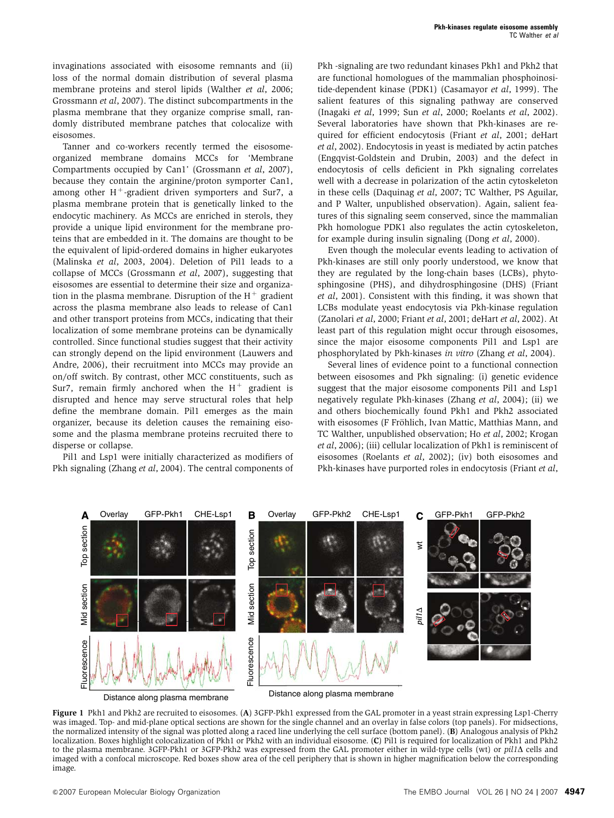<span id="page-1-0"></span>invaginations associated with eisosome remnants and (ii) loss of the normal domain distribution of several plasma membrane proteins and sterol lipids [\(Walther](#page-9-0) et al, 2006; [Grossmann](#page-9-0) et al, 2007). The distinct subcompartments in the plasma membrane that they organize comprise small, randomly distributed membrane patches that colocalize with eisosomes.

Tanner and co-workers recently termed the eisosomeorganized membrane domains MCCs for 'Membrane Compartments occupied by Can1' [\(Grossmann](#page-9-0) et al, 2007), because they contain the arginine/proton symporter Can1, among other  $H^+$ -gradient driven symporters and Sur7, a plasma membrane protein that is genetically linked to the endocytic machinery. As MCCs are enriched in sterols, they provide a unique lipid environment for the membrane proteins that are embedded in it. The domains are thought to be the equivalent of lipid-ordered domains in higher eukaryotes (Malinska et al[, 2003, 2004\)](#page-9-0). Deletion of Pil1 leads to a collapse of MCCs ([Grossmann](#page-9-0) et al, 2007), suggesting that eisosomes are essential to determine their size and organization in the plasma membrane. Disruption of the  $H^+$  gradient across the plasma membrane also leads to release of Can1 and other transport proteins from MCCs, indicating that their localization of some membrane proteins can be dynamically controlled. Since functional studies suggest that their activity can strongly depend on the lipid environment ([Lauwers and](#page-9-0) [Andre, 2006](#page-9-0)), their recruitment into MCCs may provide an on/off switch. By contrast, other MCC constituents, such as Sur7, remain firmly anchored when the  $H^+$  gradient is disrupted and hence may serve structural roles that help define the membrane domain. Pil1 emerges as the main organizer, because its deletion causes the remaining eisosome and the plasma membrane proteins recruited there to disperse or collapse.

Pil1 and Lsp1 were initially characterized as modifiers of Pkh signaling [\(Zhang](#page-9-0) et al, 2004). The central components of Pkh -signaling are two redundant kinases Pkh1 and Pkh2 that are functional homologues of the mammalian phosphoinositide-dependent kinase (PDK1) ([Casamayor](#page-9-0) et al, 1999). The salient features of this signaling pathway are conserved [\(Inagaki](#page-9-0) et al, 1999; Sun et al[, 2000](#page-9-0); [Roelants](#page-9-0) et al, 2002). Several laboratories have shown that Pkh-kinases are required for efficient endocytosis (Friant et al[, 2001; deHart](#page-9-0) et al[, 2002\)](#page-9-0). Endocytosis in yeast is mediated by actin patches [\(Engqvist-Goldstein and Drubin, 2003\)](#page-9-0) and the defect in endocytosis of cells deficient in Pkh signaling correlates well with a decrease in polarization of the actin cytoskeleton in these cells ([Daquinag](#page-9-0) et al, 2007; TC Walther, PS Aguilar, and P Walter, unpublished observation). Again, salient features of this signaling seem conserved, since the mammalian Pkh homologue PDK1 also regulates the actin cytoskeleton, for example during insulin signaling (Dong et al[, 2000\)](#page-9-0).

Even though the molecular events leading to activation of Pkh-kinases are still only poorly understood, we know that they are regulated by the long-chain bases (LCBs), phytosphingosine (PHS), and dihydrosphingosine (DHS) ([Friant](#page-9-0) et al[, 2001](#page-9-0)). Consistent with this finding, it was shown that LCBs modulate yeast endocytosis via Pkh-kinase regulation [\(Zanolari](#page-9-0) et al, 2000; [Friant](#page-9-0) et al, 2001; [deHart](#page-9-0) et al, 2002). At least part of this regulation might occur through eisosomes, since the major eisosome components Pil1 and Lsp1 are phosphorylated by Pkh-kinases in vitro [\(Zhang](#page-9-0) et al, 2004).

Several lines of evidence point to a functional connection between eisosomes and Pkh signaling: (i) genetic evidence suggest that the major eisosome components Pil1 and Lsp1 negatively regulate Pkh-kinases (Zhang et al[, 2004\)](#page-9-0); (ii) we and others biochemically found Pkh1 and Pkh2 associated with eisosomes (F Fröhlich, Ivan Mattic, Matthias Mann, and TC Walther, unpublished observation; Ho et al[, 2002; Krogan](#page-9-0) et al[, 2006\)](#page-9-0); (iii) cellular localization of Pkh1 is reminiscent of eisosomes ([Roelants](#page-9-0) et al, 2002); (iv) both eisosomes and Pkh-kinases have purported roles in endocytosis ([Friant](#page-9-0) et al,



Figure 1 Pkh1 and Pkh2 are recruited to eisosomes. (A) 3GFP-Pkh1 expressed from the GAL promoter in a yeast strain expressing Lsp1-Cherry was imaged. Top- and mid-plane optical sections are shown for the single channel and an overlay in false colors (top panels). For midsections, the normalized intensity of the signal was plotted along a raced line underlying the cell surface (bottom panel). (B) Analogous analysis of Pkh2 localization. Boxes highlight colocalization of Pkh1 or Pkh2 with an individual eisosome. (C) Pil1 is required for localization of Pkh1 and Pkh2 to the plasma membrane. 3GFP-Pkh1 or 3GFP-Pkh2 was expressed from the GAL promoter either in wild-type cells (wt) or  $pil1\Delta$  cells and imaged with a confocal microscope. Red boxes show area of the cell periphery that is shown in higher magnification below the corresponding image.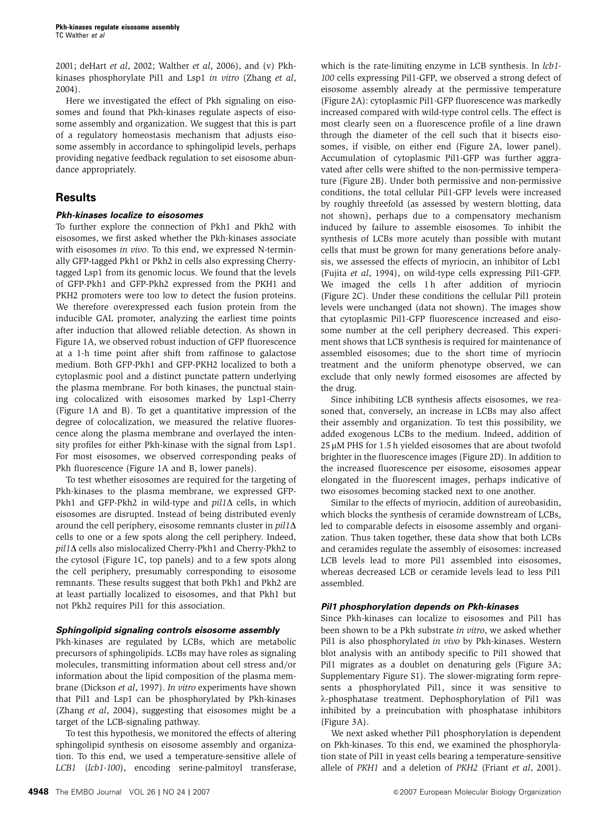[2001; deHart](#page-9-0) et al, 2002; [Walther](#page-9-0) et al, 2006), and (v) Pkh-kinases phosphorylate Pil1 and Lsp1 in vitro ([Zhang](#page-9-0) et al, [2004](#page-9-0)).

Here we investigated the effect of Pkh signaling on eisosomes and found that Pkh-kinases regulate aspects of eisosome assembly and organization. We suggest that this is part of a regulatory homeostasis mechanism that adjusts eisosome assembly in accordance to sphingolipid levels, perhaps providing negative feedback regulation to set eisosome abundance appropriately.

# **Results**

### **Pkh-kinases localize to eisosomes**

To further explore the connection of Pkh1 and Pkh2 with eisosomes, we first asked whether the Pkh-kinases associate with eisosomes in vivo. To this end, we expressed N-terminally GFP-tagged Pkh1 or Pkh2 in cells also expressing Cherrytagged Lsp1 from its genomic locus. We found that the levels of GFP-Pkh1 and GFP-Pkh2 expressed from the PKH1 and PKH2 promoters were too low to detect the fusion proteins. We therefore overexpressed each fusion protein from the inducible GAL promoter, analyzing the earliest time points after induction that allowed reliable detection. As shown in [Figure 1A](#page-1-0), we observed robust induction of GFP fluorescence at a 1-h time point after shift from raffinose to galactose medium. Both GFP-Pkh1 and GFP-PKH2 localized to both a cytoplasmic pool and a distinct punctate pattern underlying the plasma membrane. For both kinases, the punctual staining colocalized with eisosomes marked by Lsp1-Cherry [\(Figure 1A and B](#page-1-0)). To get a quantitative impression of the degree of colocalization, we measured the relative fluorescence along the plasma membrane and overlayed the intensity profiles for either Pkh-kinase with the signal from Lsp1. For most eisosomes, we observed corresponding peaks of Pkh fluorescence ([Figure 1A and B,](#page-1-0) lower panels).

To test whether eisosomes are required for the targeting of Pkh-kinases to the plasma membrane, we expressed GFP-Pkh1 and GFP-Pkh2 in wild-type and  $pil1\Delta$  cells, in which eisosomes are disrupted. Instead of being distributed evenly around the cell periphery, eisosome remnants cluster in  $pil1\Delta$ cells to one or a few spots along the cell periphery. Indeed,  $pi11\Delta$  cells also mislocalized Cherry-Pkh1 and Cherry-Pkh2 to the cytosol [\(Figure 1C](#page-1-0), top panels) and to a few spots along the cell periphery, presumably corresponding to eisosome remnants. These results suggest that both Pkh1 and Pkh2 are at least partially localized to eisosomes, and that Pkh1 but not Pkh2 requires Pil1 for this association.

### **Sphingolipid signaling controls eisosome assembly**

Pkh-kinases are regulated by LCBs, which are metabolic precursors of sphingolipids. LCBs may have roles as signaling molecules, transmitting information about cell stress and/or information about the lipid composition of the plasma membrane [\(Dickson](#page-9-0) et al, 1997). In vitro experiments have shown that Pil1 and Lsp1 can be phosphorylated by Pkh-kinases (Zhang et al[, 2004\)](#page-9-0), suggesting that eisosomes might be a target of the LCB-signaling pathway.

To test this hypothesis, we monitored the effects of altering sphingolipid synthesis on eisosome assembly and organization. To this end, we used a temperature-sensitive allele of LCB1 (lcb1-100), encoding serine-palmitoyl transferase,

which is the rate-limiting enzyme in LCB synthesis. In  $lcb1$ -100 cells expressing Pil1-GFP, we observed a strong defect of eisosome assembly already at the permissive temperature [\(Figure 2A](#page-3-0)): cytoplasmic Pil1-GFP fluorescence was markedly increased compared with wild-type control cells. The effect is most clearly seen on a fluorescence profile of a line drawn through the diameter of the cell such that it bisects eisosomes, if visible, on either end [\(Figure 2A](#page-3-0), lower panel). Accumulation of cytoplasmic Pil1-GFP was further aggravated after cells were shifted to the non-permissive temperature ([Figure 2B](#page-3-0)). Under both permissive and non-permissive conditions, the total cellular Pil1-GFP levels were increased by roughly threefold (as assessed by western blotting, data not shown), perhaps due to a compensatory mechanism induced by failure to assemble eisosomes. To inhibit the synthesis of LCBs more acutely than possible with mutant cells that must be grown for many generations before analysis, we assessed the effects of myriocin, an inhibitor of Lcb1 (Fujita et al[, 1994](#page-9-0)), on wild-type cells expressing Pil1-GFP. We imaged the cells 1h after addition of myriocin [\(Figure 2C\)](#page-3-0). Under these conditions the cellular Pil1 protein levels were unchanged (data not shown). The images show that cytoplasmic Pil1-GFP fluorescence increased and eisosome number at the cell periphery decreased. This experiment shows that LCB synthesis is required for maintenance of assembled eisosomes; due to the short time of myriocin treatment and the uniform phenotype observed, we can exclude that only newly formed eisosomes are affected by the drug.

Since inhibiting LCB synthesis affects eisosomes, we reasoned that, conversely, an increase in LCBs may also affect their assembly and organization. To test this possibility, we added exogenous LCBs to the medium. Indeed, addition of  $25 \mu$ M PHS for 1.5 h yielded eisosomes that are about twofold brighter in the fluorescence images ([Figure 2D](#page-3-0)). In addition to the increased fluorescence per eisosome, eisosomes appear elongated in the fluorescent images, perhaps indicative of two eisosomes becoming stacked next to one another.

Similar to the effects of myriocin, addition of aureobasidin, which blocks the synthesis of ceramide downstream of LCBs, led to comparable defects in eisosome assembly and organization. Thus taken together, these data show that both LCBs and ceramides regulate the assembly of eisosomes: increased LCB levels lead to more Pil1 assembled into eisosomes, whereas decreased LCB or ceramide levels lead to less Pil1 assembled.

### **Pil1 phosphorylation depends on Pkh-kinases**

Since Pkh-kinases can localize to eisosomes and Pil1 has been shown to be a Pkh substrate in vitro, we asked whether Pil1 is also phosphorylated in vivo by Pkh-kinases. Western blot analysis with an antibody specific to Pil1 showed that Pil1 migrates as a doublet on denaturing gels ([Figure 3A;](#page-4-0) Supplementary Figure S1). The slower-migrating form represents a phosphorylated Pil1, since it was sensitive to l-phosphatase treatment. Dephosphorylation of Pil1 was inhibited by a preincubation with phosphatase inhibitors [\(Figure 3A\)](#page-4-0).

We next asked whether Pil1 phosphorylation is dependent on Pkh-kinases. To this end, we examined the phosphorylation state of Pil1 in yeast cells bearing a temperature-sensitive allele of PKH1 and a deletion of PKH2 (Friant et al[, 2001](#page-9-0)).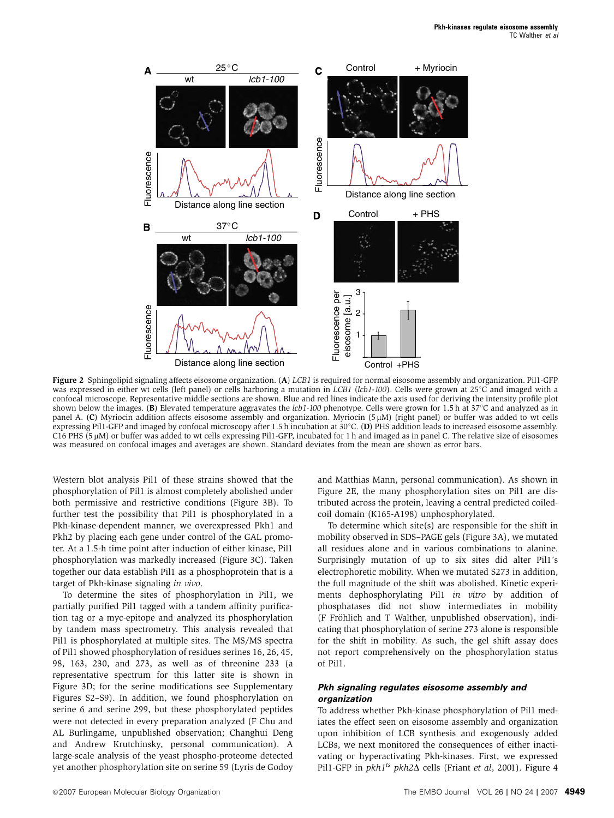<span id="page-3-0"></span>

Figure 2 Sphingolipid signaling affects eisosome organization. (A) LCB1 is required for normal eisosome assembly and organization. Pil1-GFP was expressed in either wt cells (left panel) or cells harboring a mutation in LCB1 (lcb1-100). Cells were grown at  $25^{\circ}$ C and imaged with a confocal microscope. Representative middle sections are shown. Blue and red lines indicate the axis used for deriving the intensity profile plot shown below the images. (B) Elevated temperature aggravates the  $lcb1$ -100 phenotype. Cells were grown for 1.5 h at 37°C and analyzed as in panel A. (C) Myriocin addition affects eisosome assembly and organization. Myriocin (5 mM) (right panel) or buffer was added to wt cells expressing Pil1-GFP and imaged by confocal microscopy after 1.5 h incubation at 30 $^{\circ}$ C. (D) PHS addition leads to increased eisosome assembly. C16 PHS (5 µM) or buffer was added to wt cells expressing Pil1-GFP, incubated for 1 h and imaged as in panel C. The relative size of eisosomes was measured on confocal images and averages are shown. Standard deviates from the mean are shown as error bars.

Western blot analysis Pil1 of these strains showed that the phosphorylation of Pil1 is almost completely abolished under both permissive and restrictive conditions [\(Figure 3B\)](#page-4-0). To further test the possibility that Pil1 is phosphorylated in a Pkh-kinase-dependent manner, we overexpressed Pkh1 and Pkh2 by placing each gene under control of the GAL promoter. At a 1.5-h time point after induction of either kinase, Pil1 phosphorylation was markedly increased ([Figure 3C\)](#page-4-0). Taken together our data establish Pil1 as a phosphoprotein that is a target of Pkh-kinase signaling in vivo.

To determine the sites of phosphorylation in Pil1, we partially purified Pil1 tagged with a tandem affinity purification tag or a myc-epitope and analyzed its phosphorylation by tandem mass spectrometry. This analysis revealed that Pil1 is phosphorylated at multiple sites. The MS/MS spectra of Pil1 showed phosphorylation of residues serines 16, 26, 45, 98, 163, 230, and 273, as well as of threonine 233 (a representative spectrum for this latter site is shown in [Figure 3D;](#page-4-0) for the serine modifications see Supplementary Figures S2–S9). In addition, we found phosphorylation on serine 6 and serine 299, but these phosphorylated peptides were not detected in every preparation analyzed (F Chu and AL Burlingame, unpublished observation; Changhui Deng and Andrew Krutchinsky, personal communication). A large-scale analysis of the yeast phospho-proteome detected yet another phosphorylation site on serine 59 (Lyris de Godoy and Matthias Mann, personal communication). As shown in Figure 2E, the many phosphorylation sites on Pil1 are distributed across the protein, leaving a central predicted coiledcoil domain (K165-A198) unphosphorylated.

To determine which site(s) are responsible for the shift in mobility observed in SDS–PAGE gels ([Figure 3A](#page-4-0)), we mutated all residues alone and in various combinations to alanine. Surprisingly mutation of up to six sites did alter Pil1's electrophoretic mobility. When we mutated S273 in addition, the full magnitude of the shift was abolished. Kinetic experiments dephosphorylating Pil1 in vitro by addition of phosphatases did not show intermediates in mobility (F Fröhlich and T Walther, unpublished observation), indicating that phosphorylation of serine 273 alone is responsible for the shift in mobility. As such, the gel shift assay does not report comprehensively on the phosphorylation status of Pil1.

### **Pkh signaling regulates eisosome assembly and organization**

To address whether Pkh-kinase phosphorylation of Pil1 mediates the effect seen on eisosome assembly and organization upon inhibition of LCB synthesis and exogenously added LCBs, we next monitored the consequences of either inactivating or hyperactivating Pkh-kinases. First, we expressed Pil1-GFP in  $pkh1^{ts}$  pkh2 $\Delta$  cells (Friant et al[, 2001](#page-9-0)). [Figure 4](#page-5-0)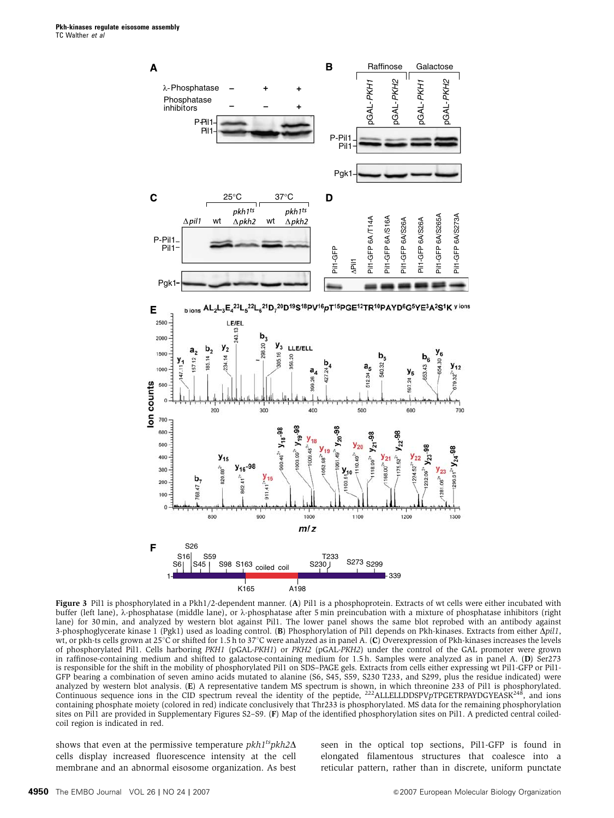<span id="page-4-0"></span>

Figure 3 Pil1 is phosphorylated in a Pkh1/2-dependent manner. (A) Pil1 is a phosphoprotein. Extracts of wt cells were either incubated with buffer (left lane), λ-phosphatase (middle lane), or λ-phosphatase after 5 min preincubation with a mixture of phosphatase inhibitors (right lane) for 30 min, and analyzed by western blot against Pil1. The lower panel shows the same blot reprobed with an antibody against 3-phosphoglycerate kinase 1 (Pgk1) used as loading control. (B) Phosphorylation of Pil1 depends on Pkh-kinases. Extracts from either  $\Delta pil1$ , wt, or pkh-ts cells grown at 25 $\degree$ C or shifted for 1.5 h to 37 $\degree$ C were analyzed as in panel A. (C) Overexpression of Pkh-kinases increases the levels of phosphorylated Pil1. Cells harboring PKH1 (pGAL-PKH1) or PKH2 (pGAL-PKH2) under the control of the GAL promoter were grown in raffinose-containing medium and shifted to galactose-containing medium for 1.5 h. Samples were analyzed as in panel A. (D) Ser273 is responsible for the shift in the mobility of phosphorylated Pil1 on SDS–PAGE gels. Extracts from cells either expressing wt Pil1-GFP or Pil1- GFP bearing a combination of seven amino acids mutated to alanine (S6, S45, S59, S230 T233, and S299, plus the residue indicated) were analyzed by western blot analysis. (E) A representative tandem MS spectrum is shown, in which threonine 233 of Pil1 is phosphorylated. Continuous sequence ions in the CID spectrum reveal the identity of the peptide,  $^{222}$ ALLELLDDSPVpTPGETRPAYDGYEASK<sup>248</sup>, and ions containing phosphate moiety (colored in red) indicate conclusively that Thr233 is phosphorylated. MS data for the remaining phosphorylation sites on Pil1 are provided in Supplementary Figures S2–S9. (F) Map of the identified phosphorylation sites on Pil1. A predicted central coiledcoil region is indicated in red.

shows that even at the permissive temperature  $pkh1^{ts}pkh2\Delta$ cells display increased fluorescence intensity at the cell membrane and an abnormal eisosome organization. As best seen in the optical top sections, Pil1-GFP is found in elongated filamentous structures that coalesce into a reticular pattern, rather than in discrete, uniform punctate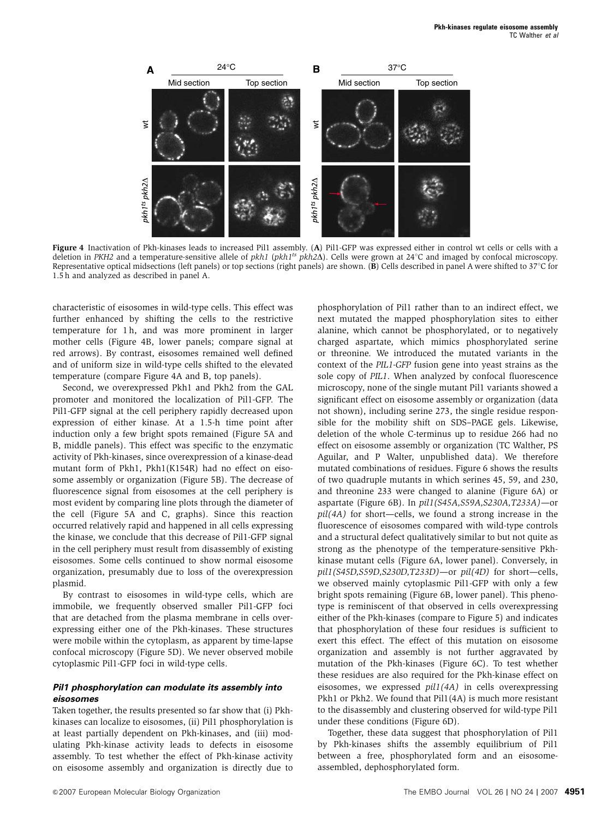<span id="page-5-0"></span>

Figure 4 Inactivation of Pkh-kinases leads to increased Pil1 assembly. (A) Pil1-GFP was expressed either in control wt cells or cells with a deletion in PKH2 and a temperature-sensitive allele of pkh1 (pkh1<sup>ts</sup> pkh2 $\Delta$ ). Cells were grown at 24°C and imaged by confocal microscopy. Representative optical midsections (left panels) or top sections (right panels) are shown. (B) Cells described in panel A were shifted to  $37^{\circ}$ C for 1.5 h and analyzed as described in panel A.

characteristic of eisosomes in wild-type cells. This effect was further enhanced by shifting the cells to the restrictive temperature for 1 h, and was more prominent in larger mother cells (Figure 4B, lower panels; compare signal at red arrows). By contrast, eisosomes remained well defined and of uniform size in wild-type cells shifted to the elevated temperature (compare Figure 4A and B, top panels).

Second, we overexpressed Pkh1 and Pkh2 from the GAL promoter and monitored the localization of Pil1-GFP. The Pil1-GFP signal at the cell periphery rapidly decreased upon expression of either kinase. At a 1.5-h time point after induction only a few bright spots remained [\(Figure 5A and](#page-6-0) [B](#page-6-0), middle panels). This effect was specific to the enzymatic activity of Pkh-kinases, since overexpression of a kinase-dead mutant form of Pkh1, Pkh1(K154R) had no effect on eisosome assembly or organization ([Figure 5B\)](#page-6-0). The decrease of fluorescence signal from eisosomes at the cell periphery is most evident by comparing line plots through the diameter of the cell ([Figure 5A and C](#page-6-0), graphs). Since this reaction occurred relatively rapid and happened in all cells expressing the kinase, we conclude that this decrease of Pil1-GFP signal in the cell periphery must result from disassembly of existing eisosomes. Some cells continued to show normal eisosome organization, presumably due to loss of the overexpression plasmid.

By contrast to eisosomes in wild-type cells, which are immobile, we frequently observed smaller Pil1-GFP foci that are detached from the plasma membrane in cells overexpressing either one of the Pkh-kinases. These structures were mobile within the cytoplasm, as apparent by time-lapse confocal microscopy ([Figure 5D](#page-6-0)). We never observed mobile cytoplasmic Pil1-GFP foci in wild-type cells.

### **Pil1 phosphorylation can modulate its assembly into eisosomes**

Taken together, the results presented so far show that (i) Pkhkinases can localize to eisosomes, (ii) Pil1 phosphorylation is at least partially dependent on Pkh-kinases, and (iii) modulating Pkh-kinase activity leads to defects in eisosome assembly. To test whether the effect of Pkh-kinase activity on eisosome assembly and organization is directly due to

phosphorylation of Pil1 rather than to an indirect effect, we next mutated the mapped phosphorylation sites to either alanine, which cannot be phosphorylated, or to negatively charged aspartate, which mimics phosphorylated serine or threonine. We introduced the mutated variants in the context of the PIL1-GFP fusion gene into yeast strains as the sole copy of PIL1. When analyzed by confocal fluorescence microscopy, none of the single mutant Pil1 variants showed a significant effect on eisosome assembly or organization (data not shown), including serine 273, the single residue responsible for the mobility shift on SDS–PAGE gels. Likewise, deletion of the whole C-terminus up to residue 266 had no effect on eisosome assembly or organization (TC Walther, PS Aguilar, and P Walter, unpublished data). We therefore mutated combinations of residues. [Figure 6](#page-7-0) shows the results of two quadruple mutants in which serines 45, 59, and 230, and threonine 233 were changed to alanine ([Figure 6A](#page-7-0)) or aspartate [\(Figure 6B](#page-7-0)). In pil1(S45A,S59A,S230A,T233A)—or pil(4A) for short—cells, we found a strong increase in the fluorescence of eisosomes compared with wild-type controls and a structural defect qualitatively similar to but not quite as strong as the phenotype of the temperature-sensitive Pkhkinase mutant cells [\(Figure 6A,](#page-7-0) lower panel). Conversely, in pil1(S45D,S59D,S230D,T233D)—or pil(4D) for short—cells, we observed mainly cytoplasmic Pil1-GFP with only a few bright spots remaining [\(Figure 6B,](#page-7-0) lower panel). This phenotype is reminiscent of that observed in cells overexpressing either of the Pkh-kinases (compare to [Figure 5\)](#page-6-0) and indicates that phosphorylation of these four residues is sufficient to exert this effect. The effect of this mutation on eisosome organization and assembly is not further aggravated by mutation of the Pkh-kinases [\(Figure 6C\)](#page-7-0). To test whether these residues are also required for the Pkh-kinase effect on eisosomes, we expressed pil1(4A) in cells overexpressing Pkh1 or Pkh2. We found that Pil1(4A) is much more resistant to the disassembly and clustering observed for wild-type Pil1 under these conditions [\(Figure 6D\)](#page-7-0).

Together, these data suggest that phosphorylation of Pil1 by Pkh-kinases shifts the assembly equilibrium of Pil1 between a free, phosphorylated form and an eisosomeassembled, dephosphorylated form.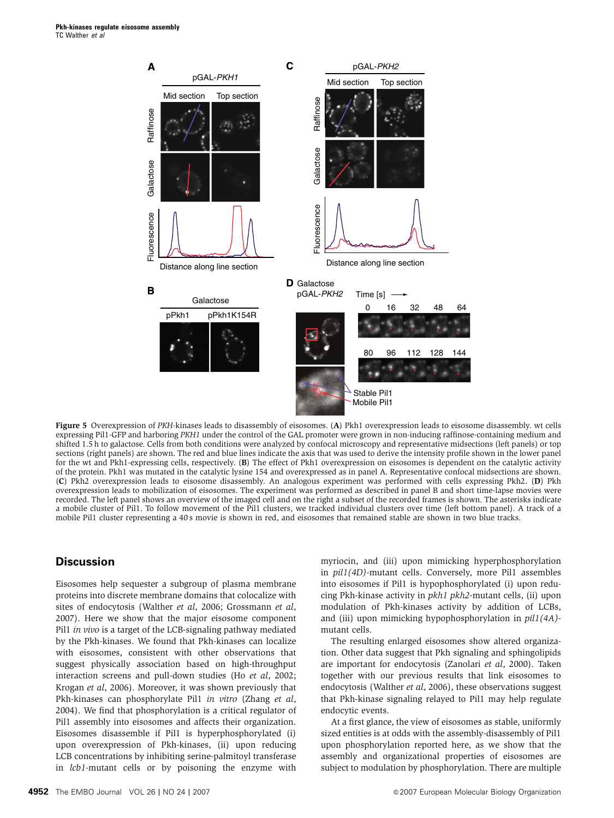<span id="page-6-0"></span>

Figure 5 Overexpression of PKH-kinases leads to disassembly of eisosomes. (A) Pkh1 overexpression leads to eisosome disassembly, wt cells expressing Pil1-GFP and harboring PKH1 under the control of the GAL promoter were grown in non-inducing raffinose-containing medium and shifted 1.5 h to galactose. Cells from both conditions were analyzed by confocal microscopy and representative midsections (left panels) or top sections (right panels) are shown. The red and blue lines indicate the axis that was used to derive the intensity profile shown in the lower panel for the wt and Pkh1-expressing cells, respectively. (B) The effect of Pkh1 overexpression on eisosomes is dependent on the catalytic activity of the protein. Pkh1 was mutated in the catalytic lysine 154 and overexpressed as in panel A. Representative confocal midsections are shown. (C) Pkh2 overexpression leads to eisosome disassembly. An analogous experiment was performed with cells expressing Pkh2. (D) Pkh overexpression leads to mobilization of eisosomes. The experiment was performed as described in panel B and short time-lapse movies were recorded. The left panel shows an overview of the imaged cell and on the right a subset of the recorded frames is shown. The asterisks indicate a mobile cluster of Pil1. To follow movement of the Pil1 clusters, we tracked individual clusters over time (left bottom panel). A track of a mobile Pil1 cluster representing a 40 s movie is shown in red, and eisosomes that remained stable are shown in two blue tracks.

# **Discussion**

Eisosomes help sequester a subgroup of plasma membrane proteins into discrete membrane domains that colocalize with sites of endocytosis ([Walther](#page-9-0) et al, 2006; [Grossmann](#page-9-0) et al, [2007\)](#page-9-0). Here we show that the major eisosome component Pil1 in vivo is a target of the LCB-signaling pathway mediated by the Pkh-kinases. We found that Pkh-kinases can localize with eisosomes, consistent with other observations that suggest physically association based on high-throughput interaction screens and pull-down studies (Ho et al[, 2002;](#page-9-0) [Krogan](#page-9-0) et al, 2006). Moreover, it was shown previously that Pkh-kinases can phosphorylate Pil1 in vitro ([Zhang](#page-9-0) et al, [2004](#page-9-0)). We find that phosphorylation is a critical regulator of Pil1 assembly into eisosomes and affects their organization. Eisosomes disassemble if Pil1 is hyperphosphorylated (i) upon overexpression of Pkh-kinases, (ii) upon reducing LCB concentrations by inhibiting serine-palmitoyl transferase in lcb1-mutant cells or by poisoning the enzyme with

myriocin, and (iii) upon mimicking hyperphosphorylation in pil1(4D)-mutant cells. Conversely, more Pil1 assembles into eisosomes if Pil1 is hypophosphorylated (i) upon reducing Pkh-kinase activity in pkh1 pkh2-mutant cells, (ii) upon modulation of Pkh-kinases activity by addition of LCBs, and (iii) upon mimicking hypophosphorylation in pil1(4A) mutant cells.

The resulting enlarged eisosomes show altered organization. Other data suggest that Pkh signaling and sphingolipids are important for endocytosis [\(Zanolari](#page-9-0) et al, 2000). Taken together with our previous results that link eisosomes to endocytosis ([Walther](#page-9-0) et al, 2006), these observations suggest that Pkh-kinase signaling relayed to Pil1 may help regulate endocytic events.

At a first glance, the view of eisosomes as stable, uniformly sized entities is at odds with the assembly-disassembly of Pil1 upon phosphorylation reported here, as we show that the assembly and organizational properties of eisosomes are subject to modulation by phosphorylation. There are multiple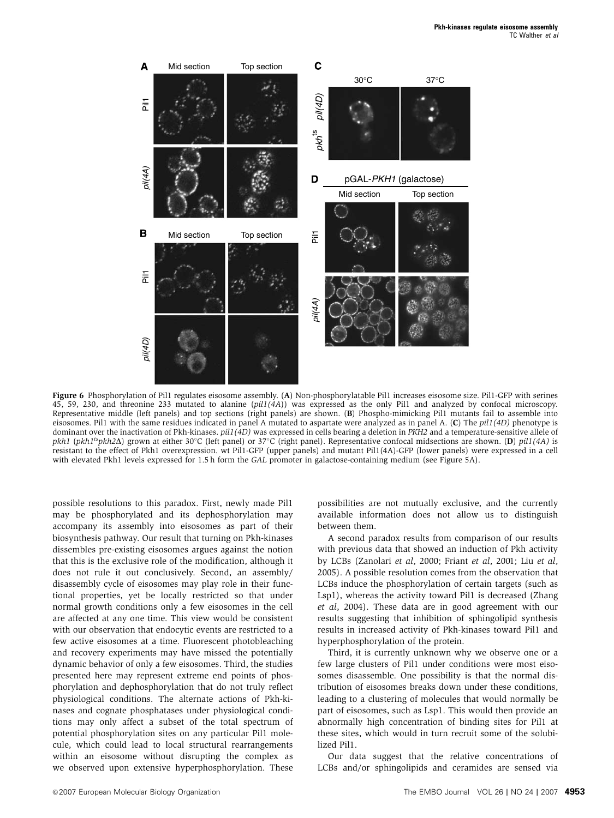<span id="page-7-0"></span>

Figure 6 Phosphorylation of Pil1 regulates eisosome assembly. (A) Non-phosphorylatable Pil1 increases eisosome size. Pil1-GFP with serines 45, 59, 230, and threonine 233 mutated to alanine (pil1(4A)) was expressed as the only Pil1 and analyzed by confocal microscopy. Representative middle (left panels) and top sections (right panels) are shown. (B) Phospho-mimicking Pil1 mutants fail to assemble into eisosomes. Pil1 with the same residues indicated in panel A mutated to aspartate were analyzed as in panel A. (C) The  $pil1(4D)$  phenotype is dominant over the inactivation of Pkh-kinases. pil1(4D) was expressed in cells bearing a deletion in PKH2 and a temperature-sensitive allele of pkh1 (pkh1<sup>ts</sup>pkh2 $\Delta$ ) grown at either 30°C (left panel) or 37°C (right panel). Representative confocal midsections are shown. (D) pil1(4A) is resistant to the effect of Pkh1 overexpression. wt Pil1-GFP (upper panels) and mutant Pil1(4A)-GFP (lower panels) were expressed in a cell with elevated Pkh1 levels expressed for 1.5 h form the GAL promoter in galactose-containing medium (see [Figure 5A\)](#page-6-0).

possible resolutions to this paradox. First, newly made Pil1 may be phosphorylated and its dephosphorylation may accompany its assembly into eisosomes as part of their biosynthesis pathway. Our result that turning on Pkh-kinases dissembles pre-existing eisosomes argues against the notion that this is the exclusive role of the modification, although it does not rule it out conclusively. Second, an assembly/ disassembly cycle of eisosomes may play role in their functional properties, yet be locally restricted so that under normal growth conditions only a few eisosomes in the cell are affected at any one time. This view would be consistent with our observation that endocytic events are restricted to a few active eisosomes at a time. Fluorescent photobleaching and recovery experiments may have missed the potentially dynamic behavior of only a few eisosomes. Third, the studies presented here may represent extreme end points of phosphorylation and dephosphorylation that do not truly reflect physiological conditions. The alternate actions of Pkh-kinases and cognate phosphatases under physiological conditions may only affect a subset of the total spectrum of potential phosphorylation sites on any particular Pil1 molecule, which could lead to local structural rearrangements within an eisosome without disrupting the complex as we observed upon extensive hyperphosphorylation. These

possibilities are not mutually exclusive, and the currently available information does not allow us to distinguish between them.

A second paradox results from comparison of our results with previous data that showed an induction of Pkh activity by LCBs ([Zanolari](#page-9-0) et al, 2000; Friant et al[, 2001;](#page-9-0) Liu [et al](#page-9-0), [2005](#page-9-0)). A possible resolution comes from the observation that LCBs induce the phosphorylation of certain targets (such as Lsp1), whereas the activity toward Pil1 is decreased [\(Zhang](#page-9-0) et al[, 2004\)](#page-9-0). These data are in good agreement with our results suggesting that inhibition of sphingolipid synthesis results in increased activity of Pkh-kinases toward Pil1 and hyperphosphorylation of the protein.

Third, it is currently unknown why we observe one or a few large clusters of Pil1 under conditions were most eisosomes disassemble. One possibility is that the normal distribution of eisosomes breaks down under these conditions, leading to a clustering of molecules that would normally be part of eisosomes, such as Lsp1. This would then provide an abnormally high concentration of binding sites for Pil1 at these sites, which would in turn recruit some of the solubilized Pil1.

Our data suggest that the relative concentrations of LCBs and/or sphingolipids and ceramides are sensed via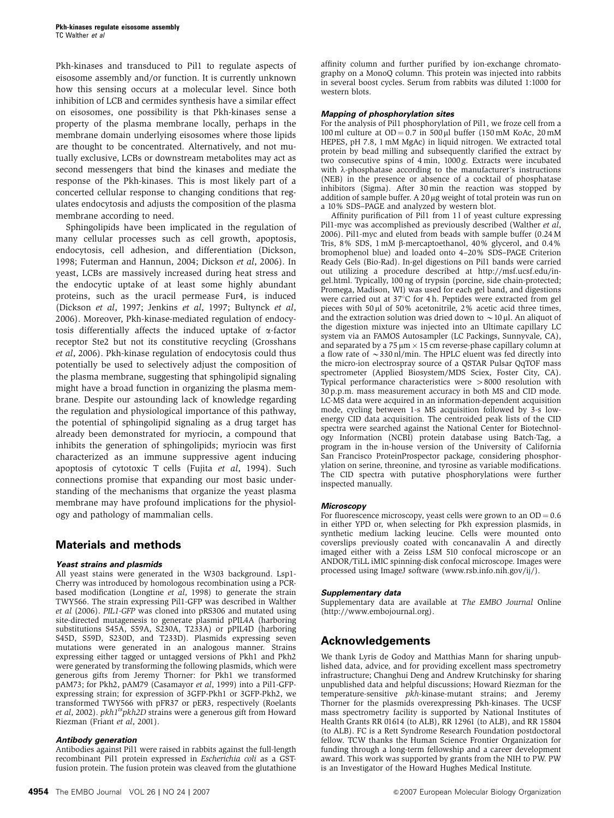Pkh-kinases and transduced to Pil1 to regulate aspects of eisosome assembly and/or function. It is currently unknown how this sensing occurs at a molecular level. Since both inhibition of LCB and cermides synthesis have a similar effect on eisosomes, one possibility is that Pkh-kinases sense a property of the plasma membrane locally, perhaps in the membrane domain underlying eisosomes where those lipids are thought to be concentrated. Alternatively, and not mutually exclusive, LCBs or downstream metabolites may act as second messengers that bind the kinases and mediate the response of the Pkh-kinases. This is most likely part of a concerted cellular response to changing conditions that regulates endocytosis and adjusts the composition of the plasma membrane according to need.

Sphingolipids have been implicated in the regulation of many cellular processes such as cell growth, apoptosis, endocytosis, cell adhesion, and differentiation ([Dickson,](#page-9-0) [1998](#page-9-0); [Futerman and Hannun, 2004; Dickson](#page-9-0) et al, 2006). In yeast, LCBs are massively increased during heat stress and the endocytic uptake of at least some highly abundant proteins, such as the uracil permease Fur4, is induced [\(Dickson](#page-9-0) et al, 1997; [Jenkins](#page-9-0) et al, 1997; [Bultynck](#page-9-0) et al, [2006](#page-9-0)). Moreover, Pkh-kinase-mediated regulation of endocytosis differentially affects the induced uptake of  $\alpha$ -factor receptor Ste2 but not its constitutive recycling ([Grosshans](#page-9-0) et al[, 2006](#page-9-0)). Pkh-kinase regulation of endocytosis could thus potentially be used to selectively adjust the composition of the plasma membrane, suggesting that sphingolipid signaling might have a broad function in organizing the plasma membrane. Despite our astounding lack of knowledge regarding the regulation and physiological importance of this pathway, the potential of sphingolipid signaling as a drug target has already been demonstrated for myriocin, a compound that inhibits the generation of sphingolipids; myriocin was first characterized as an immune suppressive agent inducing apoptosis of cytotoxic T cells (Fujita et al[, 1994](#page-9-0)). Such connections promise that expanding our most basic understanding of the mechanisms that organize the yeast plasma membrane may have profound implications for the physiology and pathology of mammalian cells.

# **Materials and methods**

#### **Yeast strains and plasmids**

All yeast stains were generated in the W303 background. Lsp1- Cherry was introduced by homologous recombination using a PCR-based modification ([Longtine](#page-9-0) et  $al$ , 1998) to generate the strain TWY566. The strain expressing Pil1-GFP was described in [Walther](#page-9-0) et al [\(2006\)](#page-9-0). PIL1-GFP was cloned into pRS306 and mutated using site-directed mutagenesis to generate plasmid pPIL4A (harboring substitutions S45A, S59A, S230A, T233A) or pPIL4D (harboring S45D, S59D, S230D, and T233D). Plasmids expressing seven mutations were generated in an analogous manner. Strains expressing either tagged or untagged versions of Pkh1 and Pkh2 were generated by transforming the following plasmids, which were generous gifts from Jeremy Thorner: for Pkh1 we transformed pAM73; for Pkh2, pAM79 [\(Casamayor](#page-9-0) et al, 1999) into a Pil1-GFPexpressing strain; for expression of 3GFP-Pkh1 or 3GFP-Pkh2, we transformed TWY566 with pFR37 or pER3, respectively ([Roelants](#page-9-0) et al[, 2002\)](#page-9-0).  $pkh1^{ts}pkh2D$  strains were a generous gift from Howard Riezman (Friant et al[, 2001](#page-9-0)).

#### **Antibody generation**

Antibodies against Pil1 were raised in rabbits against the full-length recombinant Pil1 protein expressed in Escherichia coli as a GSTfusion protein. The fusion protein was cleaved from the glutathione affinity column and further purified by ion-exchange chromatography on a MonoQ column. This protein was injected into rabbits in several boost cycles. Serum from rabbits was diluted 1:1000 for western blots.

#### **Mapping of phosphorylation sites**

For the analysis of Pil1 phosphorylation of Pil1, we froze cell from a 100 ml culture at  $OD = 0.7$  in 500 µl buffer (150 mM KoAc, 20 mM HEPES, pH 7.8, 1 mM MgAc) in liquid nitrogen. We extracted total protein by bead milling and subsequently clarified the extract by two consecutive spins of 4 min, 1000 g. Extracts were incubated with  $\lambda$ -phosphatase according to the manufacturer's instructions (NEB) in the presence or absence of a cocktail of phosphatase inhibitors (Sigma). After 30 min the reaction was stopped by addition of sample buffer. A 20 µg weight of total protein was run on a 10% SDS–PAGE and analyzed by western blot.

Affinity purification of Pil1 from 11 of yeast culture expressing Pil1-myc was accomplished as previously described [\(Walther](#page-9-0) et al, [2006\)](#page-9-0). Pil1-myc and eluted from beads with sample buffer (0.24 M Tris, 8% SDS, 1 mM b-mercaptoethanol, 40% glycerol, and 0.4% bromophenol blue) and loaded onto 4–20% SDS–PAGE Criterion Ready Gels (Bio-Rad). In-gel digestions on Pil1 bands were carried out utilizing a procedure described at [http://msf.ucsf.edu/in](http://msf.ucsf.edu/ingel.html)[gel.html](http://msf.ucsf.edu/ingel.html). Typically, 100 ng of trypsin (porcine, side chain-protected; Promega, Madison, WI) was used for each gel band, and digestions were carried out at  $37^{\circ}$ C for 4 h. Peptides were extracted from gel pieces with 50  $\mu$ l of 50% acetonitrile, 2% acetic acid three times, and the extraction solution was dried down to  $\sim$  10 µl. An aliquot of the digestion mixture was injected into an Ultimate capillary LC system via an FAMOS Autosampler (LC Packings, Sunnyvale, CA), and separated by a  $75 \mu m \times 15$  cm reverse-phase capillary column at a flow rate of  $\sim$  330 nl/min. The HPLC eluent was fed directly into the micro-ion electrospray source of a OSTAR Pulsar OqTOF mass spectrometer (Applied Biosystem/MDS Sciex, Foster City, CA). Typical performance characteristics were  $>8000$  resolution with 30 p.p.m. mass measurement accuracy in both MS and CID mode. LC-MS data were acquired in an information-dependent acquisition mode, cycling between 1-s MS acquisition followed by 3-s lowenergy CID data acquisition. The centroided peak lists of the CID spectra were searched against the National Center for Biotechnology Information (NCBI) protein database using Batch-Tag, a program in the in-house version of the University of California San Francisco ProteinProspector package, considering phosphorylation on serine, threonine, and tyrosine as variable modifications. The CID spectra with putative phosphorylations were further inspected manually.

#### **Microscopy**

For fluorescence microscopy, yeast cells were grown to an  $OD = 0.6$ in either YPD or, when selecting for Pkh expression plasmids, in synthetic medium lacking leucine. Cells were mounted onto coverslips previously coated with concanavalin A and directly imaged either with a Zeiss LSM 510 confocal microscope or an ANDOR/TiLL iMIC spinning-disk confocal microscope. Images were processed using ImageJ software [\(www.rsb.info.nih.gov/ij/\)](www.rsb.info.nih.gov/ij/).

#### **Supplementary data**

Supplementary data are available at The EMBO Journal Online [\(http://www.embojournal.org\)](http://www.embojournal.org).

### **Acknowledgements**

We thank Lyris de Godoy and Matthias Mann for sharing unpublished data, advice, and for providing excellent mass spectrometry infrastructure; Changhui Deng and Andrew Krutchinsky for sharing unpublished data and helpful discussions; Howard Riezman for the temperature-sensitive pkh-kinase-mutant strains; and Jeremy Thorner for the plasmids overexpressing Pkh-kinases. The UCSF mass spectrometry facility is supported by National Institutes of Health Grants RR 01614 (to ALB), RR 12961 (to ALB), and RR 15804 (to ALB). FC is a Rett Syndrome Research Foundation postdoctoral fellow. TCW thanks the Human Science Frontier Organization for funding through a long-term fellowship and a career development award. This work was supported by grants from the NIH to PW. PW is an Investigator of the Howard Hughes Medical Institute.